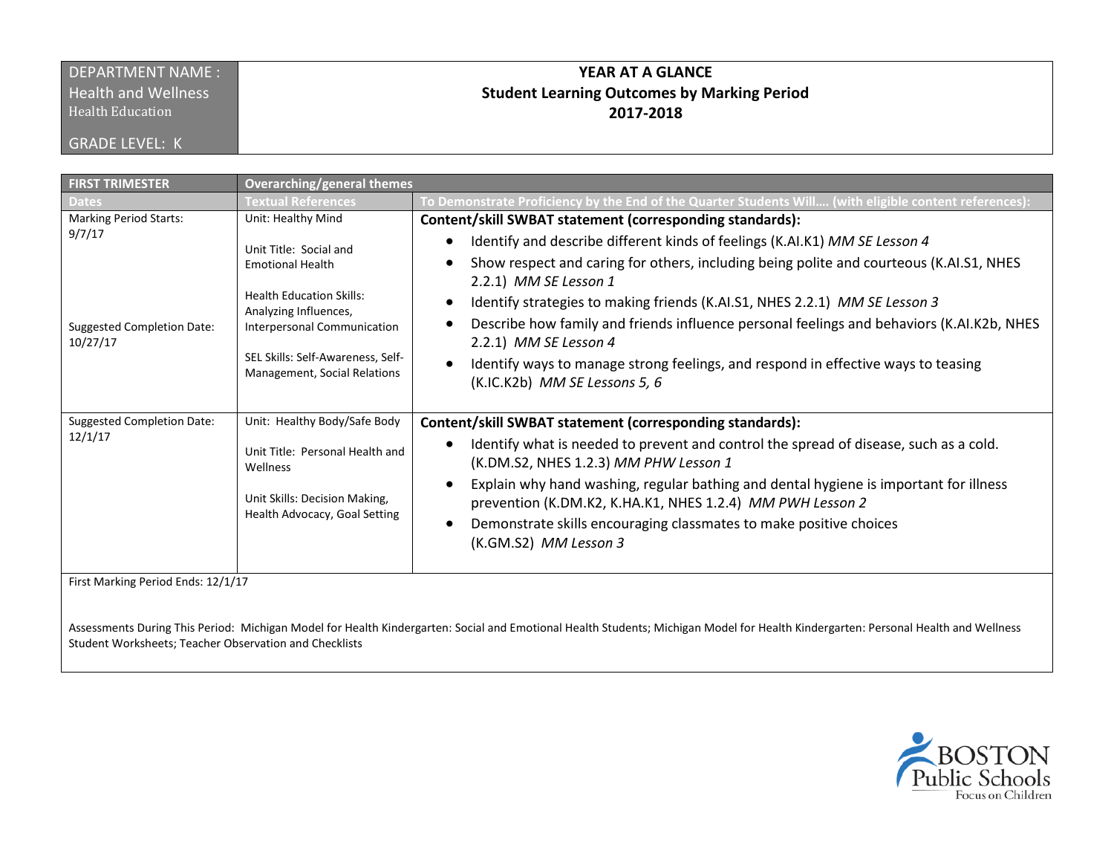## DEPARTMENT NAME : **Health and Wellness**

Health Education

GRADE LEVEL: K

## **YEAR AT A GLANCE Student Learning Outcomes by Marking Period 2017-2018**

| <b>FIRST TRIMESTER</b>                                                                   | Overarching/general themes                                                                                                                                                                                                                     |                                                                                                                                                                                                                                                                                                                                                                                                                                                                                                                                                                                      |
|------------------------------------------------------------------------------------------|------------------------------------------------------------------------------------------------------------------------------------------------------------------------------------------------------------------------------------------------|--------------------------------------------------------------------------------------------------------------------------------------------------------------------------------------------------------------------------------------------------------------------------------------------------------------------------------------------------------------------------------------------------------------------------------------------------------------------------------------------------------------------------------------------------------------------------------------|
| <b>Dates</b>                                                                             | <b>Textual References</b>                                                                                                                                                                                                                      | To Demonstrate Proficiency by the End of the Quarter Students Will (with eligible content references):                                                                                                                                                                                                                                                                                                                                                                                                                                                                               |
| <b>Marking Period Starts:</b><br>9/7/17<br><b>Suggested Completion Date:</b><br>10/27/17 | Unit: Healthy Mind<br>Unit Title: Social and<br><b>Emotional Health</b><br><b>Health Education Skills:</b><br>Analyzing Influences,<br><b>Interpersonal Communication</b><br>SEL Skills: Self-Awareness, Self-<br>Management, Social Relations | Content/skill SWBAT statement (corresponding standards):<br>Identify and describe different kinds of feelings (K.AI.K1) MM SE Lesson 4<br>Show respect and caring for others, including being polite and courteous (K.AI.S1, NHES<br>2.2.1) MM SE Lesson 1<br>Identify strategies to making friends (K.AI.S1, NHES 2.2.1) MM SE Lesson 3<br>Describe how family and friends influence personal feelings and behaviors (K.AI.K2b, NHES<br>2.2.1) MM SE Lesson 4<br>Identify ways to manage strong feelings, and respond in effective ways to teasing<br>(K.IC.K2b) MM SE Lessons 5, 6 |
| <b>Suggested Completion Date:</b><br>12/1/17<br>First Marking Period Ends: 12/1/17       | Unit: Healthy Body/Safe Body<br>Unit Title: Personal Health and<br>Wellness<br>Unit Skills: Decision Making,<br>Health Advocacy, Goal Setting                                                                                                  | Content/skill SWBAT statement (corresponding standards):<br>Identify what is needed to prevent and control the spread of disease, such as a cold.<br>(K.DM.S2, NHES 1.2.3) MM PHW Lesson 1<br>Explain why hand washing, regular bathing and dental hygiene is important for illness<br>prevention (K.DM.K2, K.HA.K1, NHES 1.2.4) MM PWH Lesson 2<br>Demonstrate skills encouraging classmates to make positive choices<br>(K.GM.S2) MM Lesson 3                                                                                                                                      |

Assessments During This Period: Michigan Model for Health Kindergarten: Social and Emotional Health Students; Michigan Model for Health Kindergarten: Personal Health and Wellness Student Worksheets; Teacher Observation and Checklists

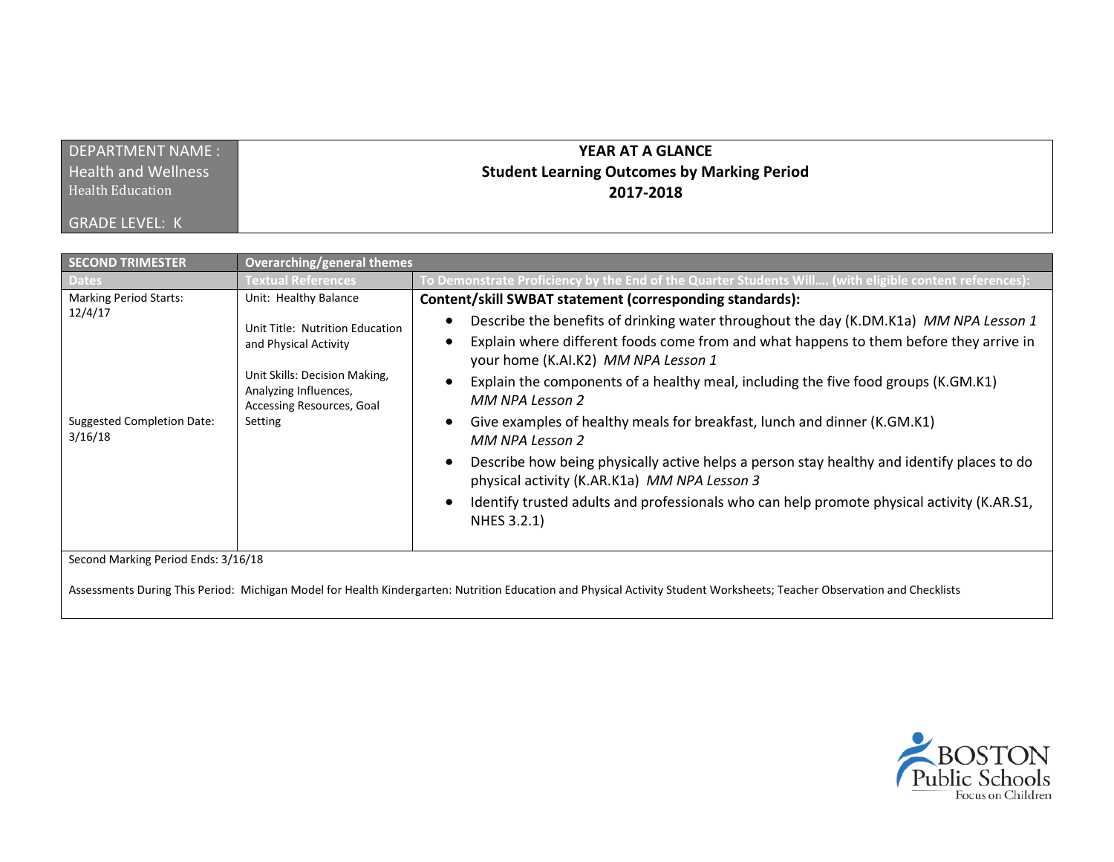| DEPARTMENT NAME:           | YEAR AT A GLANCE                                   |
|----------------------------|----------------------------------------------------|
| <b>Health and Wellness</b> | <b>Student Learning Outcomes by Marking Period</b> |
| <b>Health Education</b>    | 2017-2018                                          |
| <b>GRADE LEVEL: K</b>      |                                                    |

| <b>SECOND TRIMESTER</b>                                                                                                                                                                                         | <b>Overarching/general themes</b>                                                              |                                                                                                                                                                                                                        |  |  |
|-----------------------------------------------------------------------------------------------------------------------------------------------------------------------------------------------------------------|------------------------------------------------------------------------------------------------|------------------------------------------------------------------------------------------------------------------------------------------------------------------------------------------------------------------------|--|--|
| <b>Dates</b>                                                                                                                                                                                                    | <b>Textual References</b>                                                                      | To Demonstrate Proficiency by the End of the Quarter Students Will (with eligible content references):                                                                                                                 |  |  |
| <b>Marking Period Starts:</b><br>12/4/17<br><b>Suggested Completion Date:</b><br>3/16/18                                                                                                                        | Unit: Healthy Balance                                                                          | Content/skill SWBAT statement (corresponding standards):                                                                                                                                                               |  |  |
|                                                                                                                                                                                                                 | Unit Title: Nutrition Education<br>and Physical Activity                                       | Describe the benefits of drinking water throughout the day (K.DM.K1a) MM NPA Lesson 1<br>Explain where different foods come from and what happens to them before they arrive in<br>your home (K.AI.K2) MM NPA Lesson 1 |  |  |
|                                                                                                                                                                                                                 | Unit Skills: Decision Making,<br>Analyzing Influences,<br>Accessing Resources, Goal<br>Setting | Explain the components of a healthy meal, including the five food groups (K.GM.K1)<br>MM NPA Lesson 2                                                                                                                  |  |  |
|                                                                                                                                                                                                                 |                                                                                                | Give examples of healthy meals for breakfast, lunch and dinner (K.GM.K1)<br>MM NPA Lesson 2                                                                                                                            |  |  |
|                                                                                                                                                                                                                 |                                                                                                | Describe how being physically active helps a person stay healthy and identify places to do<br>physical activity (K.AR.K1a) MM NPA Lesson 3                                                                             |  |  |
|                                                                                                                                                                                                                 |                                                                                                | Identify trusted adults and professionals who can help promote physical activity (K.AR.S1,<br>NHES 3.2.1)                                                                                                              |  |  |
| Second Marking Period Ends: 3/16/18<br>Assessments During This Period: Michigan Model for Health Kindergarten: Nutrition Education and Physical Activity Student Worksheets; Teacher Observation and Checklists |                                                                                                |                                                                                                                                                                                                                        |  |  |